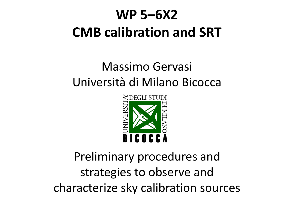#### Massimo Gervasi Università di Milano Bicocca



#### Preliminary procedures and strategies to observe and characterize sky calibration sources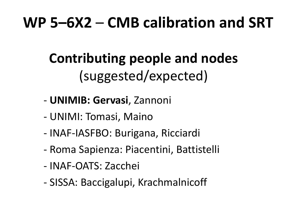#### **Contributing people and nodes** (suggested/expected)

- **UNIMIB: Gervasi**, Zannoni
- UNIMI: Tomasi, Maino
- INAF-IASFBO: Burigana, Ricciardi
- Roma Sapienza: Piacentini, Battistelli
- INAF-OATS: Zacchei
- SISSA: Baccigalupi, Krachmalnicoff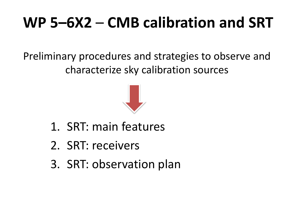Preliminary procedures and strategies to observe and characterize sky calibration sources



- 1. SRT: main features
- 2. SRT: receivers
- 3. SRT: observation plan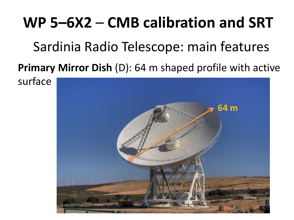Sardinia Radio Telescope: main features

**Primary Mirror Dish** (D): 64 m shaped profile with active

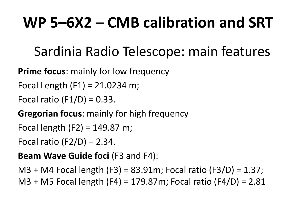Sardinia Radio Telescope: main features

**Prime focus**: mainly for low frequency

Focal Length  $(F1) = 21.0234$  m;

Focal ratio  $(F1/D) = 0.33$ .

**Gregorian focus**: mainly for high frequency

```
Focal length (F2) = 149.87 m;
```
Focal ratio  $(F2/D) = 2.34$ .

**Beam Wave Guide foci** (F3 and F4):

M3 + M4 Focal length (F3) = 83.91m; Focal ratio (F3/D) = 1.37; M3 + M5 Focal length (F4) = 179.87m; Focal ratio (F4/D) = 2.81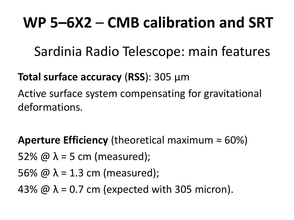Sardinia Radio Telescope: main features

#### **Total surface accuracy** (**RSS**): 305 μm

Active surface system compensating for gravitational deformations.

**Aperture Efficiency** (theoretical maximum  $\approx 60\%$ )

52%  $\omega \lambda$  = 5 cm (measured);

56%  $\omega \lambda$  = 1.3 cm (measured);

43%  $\omega \lambda$  = 0.7 cm (expected with 305 micron).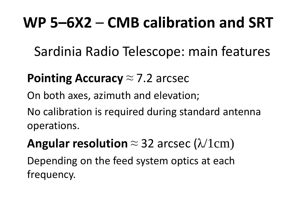Sardinia Radio Telescope: main features

#### **Pointing Accuracy** ≈ 7.2 arcsec

On both axes, azimuth and elevation;

No calibration is required during standard antenna operations.

**Angular resolution**  $\approx$  32 arcsec ( $\lambda$ /1cm)

Depending on the feed system optics at each frequency.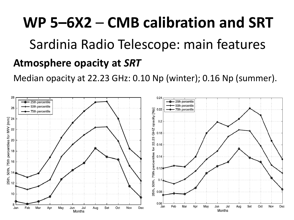# **WP 5–6X2** – **CMB calibration and SRT Atmosphere opacity at** *SRT* Sardinia Radio Telescope: main features

Median opacity at 22.23 GHz: 0.10 Np (winter); 0.16 Np (summer).

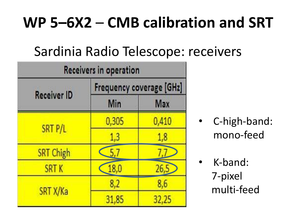| Receivers in operation |                          |            |  |  |  |
|------------------------|--------------------------|------------|--|--|--|
| <b>Receiver ID</b>     | Frequency coverage [GHz] |            |  |  |  |
|                        | Min                      | <b>Max</b> |  |  |  |
| SRT P/L                | 0,305                    | 0,410      |  |  |  |
|                        | 1,3                      | 1,8        |  |  |  |
| <b>SRT Chigh</b>       |                          |            |  |  |  |
| <b>SRTK</b>            | 18,0                     | 26,5       |  |  |  |
| SRT X/Ka               | 8,2                      | 8,6        |  |  |  |
|                        | 31,85                    | 32,25      |  |  |  |

- C-high-band: mono‐feed
- K‐band: 7-pixel multi‐feed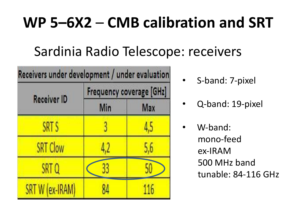| Receivers under development / under evaluation |                          |     |  |  |  |
|------------------------------------------------|--------------------------|-----|--|--|--|
|                                                | Frequency coverage [GHz] |     |  |  |  |
| <b>Receiver ID</b>                             | Min                      | Max |  |  |  |
| SRT S                                          |                          | 4,5 |  |  |  |
| <b>SRT Clow</b>                                | 4,2                      | 5,6 |  |  |  |
| SRT Q                                          |                          |     |  |  |  |
| SRT W (ex-IRAM)                                |                          | 116 |  |  |  |

- S-band: 7‐pixel
- Q‐band: 19‐pixel
	- W‐band: mono‐feed ex‐IRAM 500 MHz band tunable: 84-116 GHz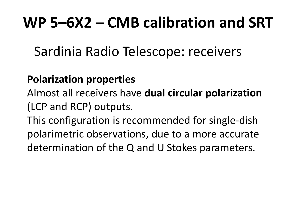Sardinia Radio Telescope: receivers

#### **Polarization properties**

Almost all receivers have **dual circular polarization**  (LCP and RCP) outputs.

This configuration is recommended for single‐dish polarimetric observations, due to a more accurate determination of the Q and U Stokes parameters.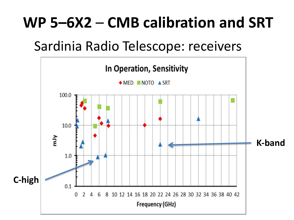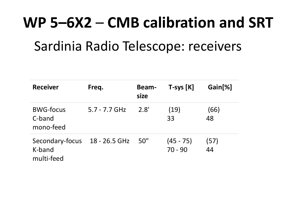| <b>Receiver</b>                         | Freq.           | <b>Beam-</b><br>size | $T$ -sys $[K]$           | Gain[%]    |
|-----------------------------------------|-----------------|----------------------|--------------------------|------------|
| <b>BWG-focus</b><br>C-band<br>mono-feed | $5.7 - 7.7$ GHz | 2.8'                 | (19)<br>33               | (66)<br>48 |
| Secondary-focus<br>K-band<br>multi-feed | 18 - 26.5 GHz   | 50"                  | $(45 - 75)$<br>$70 - 90$ | (57)<br>44 |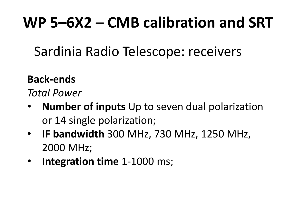Sardinia Radio Telescope: receivers

#### **Back-ends**

*Total Power*

- **Number of inputs** Up to seven dual polarization or 14 single polarization;
- **IF bandwidth** 300 MHz, 730 MHz, 1250 MHz, 2000 MHz;
- **Integration time** 1-1000 ms;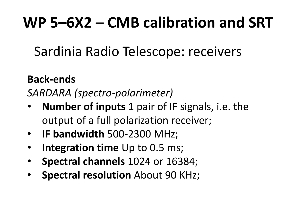Sardinia Radio Telescope: receivers

#### **Back-ends**

*SARDARA (spectro-polarimeter)*

- **Number of inputs** 1 pair of IF signals, i.e. the output of a full polarization receiver;
- **IF bandwidth** 500‐2300 MHz;
- **Integration time** Up to 0.5 ms;
- **Spectral channels** 1024 or 16384;
- **Spectral resolution** About 90 KHz;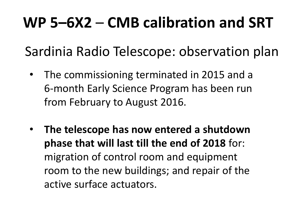Sardinia Radio Telescope: observation plan

- The commissioning terminated in 2015 and a 6‐month Early Science Program has been run from February to August 2016.
- **The telescope has now entered a shutdown phase that will last till the end of 2018** for: migration of control room and equipment room to the new buildings; and repair of the active surface actuators.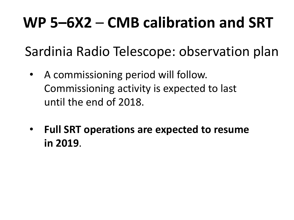Sardinia Radio Telescope: observation plan

- A commissioning period will follow. Commissioning activity is expected to last until the end of 2018.
- **Full SRT operations are expected to resume in 2019**.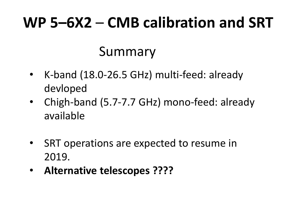#### Summary

- K-band (18.0-26.5 GHz) multi-feed: already devloped
- Chigh-band (5.7-7.7 GHz) mono-feed: already available
- SRT operations are expected to resume in 2019.
- **Alternative telescopes ????**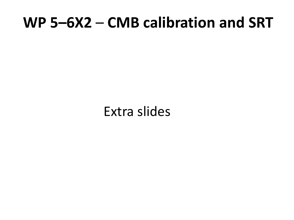Extra slides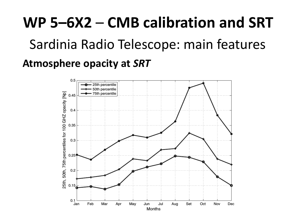# **WP 5–6X2** – **CMB calibration and SRT Atmosphere opacity at** *SRT* Sardinia Radio Telescope: main features